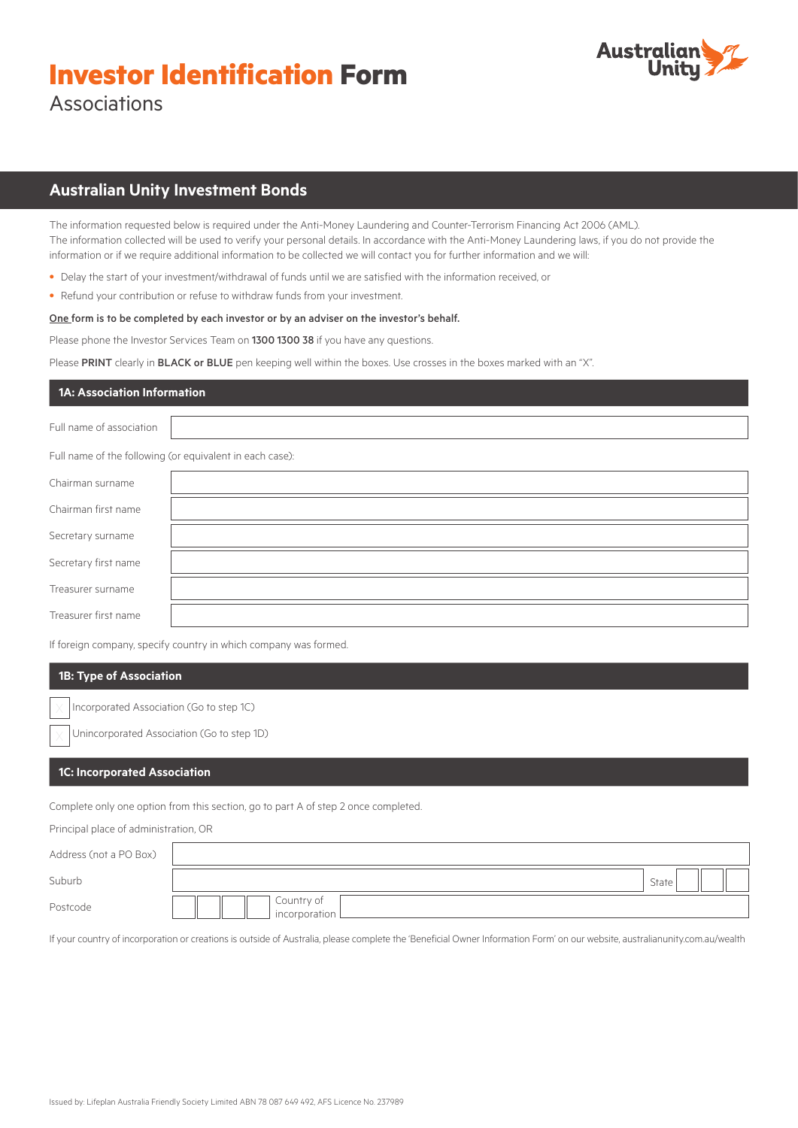# **Investor Identification Form** Associations



## **Australian Unity Investment Bonds**

The information requested below is required under the Anti-Money Laundering and Counter-Terrorism Financing Act 2006 (AML). The information collected will be used to verify your personal details. In accordance with the Anti-Money Laundering laws, if you do not provide the information or if we require additional information to be collected we will contact you for further information and we will:

- Delay the start of your investment/withdrawal of funds until we are satisfied with the information received, or
- Refund your contribution or refuse to withdraw funds from your investment.

#### One form is to be completed by each investor or by an adviser on the investor's behalf.

Please phone the Investor Services Team on 1300 1300 38 if you have any questions.

Please PRINT clearly in BLACK or BLUE pen keeping well within the boxes. Use crosses in the boxes marked with an "X".

## **1A: Association Information**

Full name of association

Full name of the following (or equivalent in each case):

| Chairman surname     |  |
|----------------------|--|
| Chairman first name  |  |
| Secretary surname    |  |
| Secretary first name |  |
| Treasurer surname    |  |
| Treasurer first name |  |

If foreign company, specify country in which company was formed.

## **1B: Type of Association**

Incorporated Association (Go to step 1C)

Unincorporated Association (Go to step 1D)

## **1C: Incorporated Association**

Complete only one option from this section, go to part A of step 2 once completed.

Principal place of administration, OR

| Address (not a PO Box) |                               |  |
|------------------------|-------------------------------|--|
| Suburb                 | State                         |  |
| Postcode               | Country of<br>incorporation L |  |

If your country of incorporation or creations is outside of Australia, please complete the 'Beneficial Owner Information Form' on our website, australianunity.com.au/wealth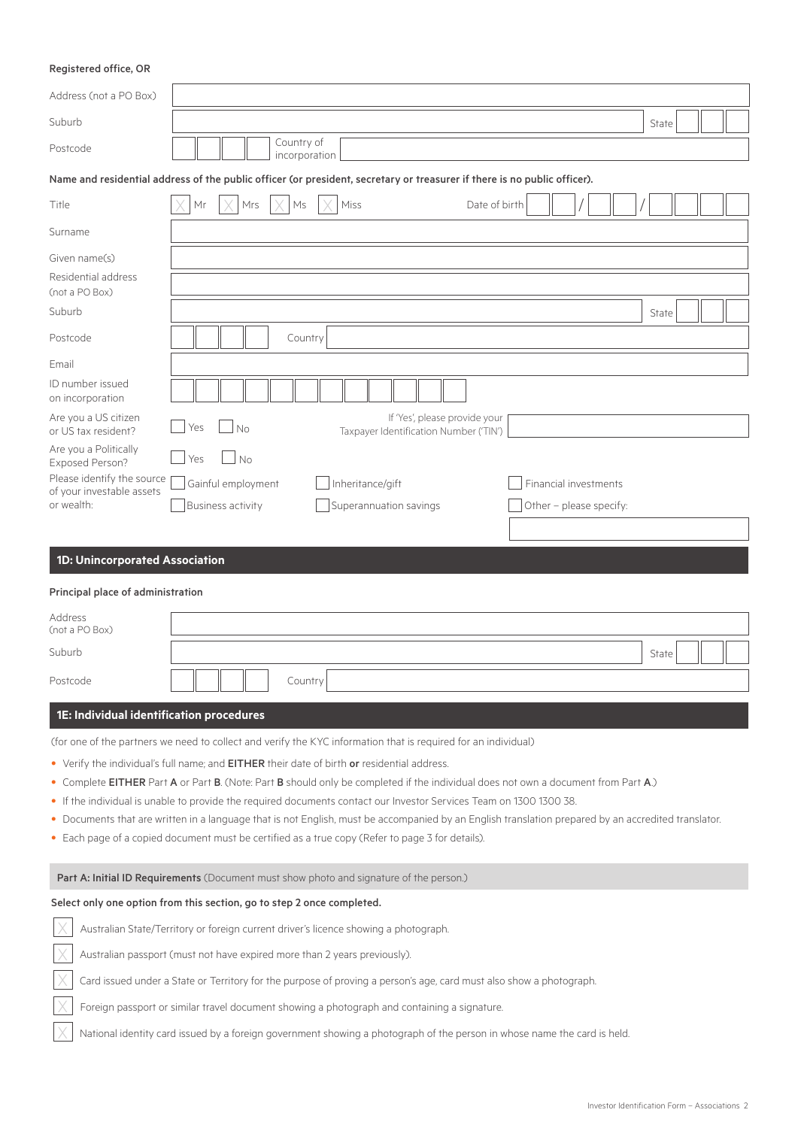## Registered office, OR

| Address (not a PO Box)                                                                                                   |                                                                                                                                                                                                                                                         |       |  |  |  |
|--------------------------------------------------------------------------------------------------------------------------|---------------------------------------------------------------------------------------------------------------------------------------------------------------------------------------------------------------------------------------------------------|-------|--|--|--|
| Suburb                                                                                                                   |                                                                                                                                                                                                                                                         | State |  |  |  |
| Postcode                                                                                                                 | Country of<br>incorporation                                                                                                                                                                                                                             |       |  |  |  |
|                                                                                                                          | Name and residential address of the public officer (or president, secretary or treasurer if there is no public officer).                                                                                                                                |       |  |  |  |
| Title                                                                                                                    | Mr<br>Mrs<br>Ms<br>Miss<br>Date of birth                                                                                                                                                                                                                |       |  |  |  |
| Surname                                                                                                                  |                                                                                                                                                                                                                                                         |       |  |  |  |
| Given name(s)                                                                                                            |                                                                                                                                                                                                                                                         |       |  |  |  |
| Residential address<br>(not a PO Box)                                                                                    |                                                                                                                                                                                                                                                         |       |  |  |  |
| Suburb                                                                                                                   |                                                                                                                                                                                                                                                         | State |  |  |  |
| Postcode                                                                                                                 | Country                                                                                                                                                                                                                                                 |       |  |  |  |
| Email                                                                                                                    |                                                                                                                                                                                                                                                         |       |  |  |  |
| ID number issued<br>on incorporation                                                                                     |                                                                                                                                                                                                                                                         |       |  |  |  |
| Are you a US citizen<br>or US tax resident?                                                                              | If 'Yes', please provide your<br>No<br>Yes<br>Taxpayer Identification Number ('TIN')                                                                                                                                                                    |       |  |  |  |
| Are you a Politically<br>Exposed Person?                                                                                 | Yes<br><b>No</b>                                                                                                                                                                                                                                        |       |  |  |  |
| Please identify the source                                                                                               | Gainful employment<br>Inheritance/gift<br>Financial investments                                                                                                                                                                                         |       |  |  |  |
| of your investable assets<br>or wealth:                                                                                  | <b>Business activity</b><br>Superannuation savings<br>Other - please specify:                                                                                                                                                                           |       |  |  |  |
|                                                                                                                          |                                                                                                                                                                                                                                                         |       |  |  |  |
| 1D: Unincorporated Association                                                                                           |                                                                                                                                                                                                                                                         |       |  |  |  |
| Principal place of administration                                                                                        |                                                                                                                                                                                                                                                         |       |  |  |  |
| Address                                                                                                                  |                                                                                                                                                                                                                                                         |       |  |  |  |
| (not a PO Box)                                                                                                           |                                                                                                                                                                                                                                                         |       |  |  |  |
| Suburb                                                                                                                   |                                                                                                                                                                                                                                                         | State |  |  |  |
| Postcode                                                                                                                 | Country                                                                                                                                                                                                                                                 |       |  |  |  |
| 1E: Individual identification procedures                                                                                 |                                                                                                                                                                                                                                                         |       |  |  |  |
|                                                                                                                          | (for one of the partners we need to collect and verify the KYC information that is required for an individual)                                                                                                                                          |       |  |  |  |
|                                                                                                                          | • Verify the individual's full name; and EITHER their date of birth or residential address.                                                                                                                                                             |       |  |  |  |
|                                                                                                                          | • Complete EITHER Part A or Part B. (Note: Part B should only be completed if the individual does not own a document from Part A.)                                                                                                                      |       |  |  |  |
|                                                                                                                          | • If the individual is unable to provide the required documents contact our Investor Services Team on 1300 1300 38.                                                                                                                                     |       |  |  |  |
|                                                                                                                          | • Documents that are written in a language that is not English, must be accompanied by an English translation prepared by an accredited translator.<br>• Each page of a copied document must be certified as a true copy (Refer to page 3 for details). |       |  |  |  |
|                                                                                                                          |                                                                                                                                                                                                                                                         |       |  |  |  |
|                                                                                                                          | Part A: Initial ID Requirements (Document must show photo and signature of the person.)                                                                                                                                                                 |       |  |  |  |
|                                                                                                                          | Select only one option from this section, go to step 2 once completed.                                                                                                                                                                                  |       |  |  |  |
| Australian State/Territory or foreign current driver's licence showing a photograph.                                     |                                                                                                                                                                                                                                                         |       |  |  |  |
| Australian passport (must not have expired more than 2 years previously).                                                |                                                                                                                                                                                                                                                         |       |  |  |  |
| Card issued under a State or Territory for the purpose of proving a person's age, card must also show a photograph.      |                                                                                                                                                                                                                                                         |       |  |  |  |
|                                                                                                                          | Foreign passport or similar travel document showing a photograph and containing a signature.                                                                                                                                                            |       |  |  |  |
| National identity card issued by a foreign government showing a photograph of the person in whose name the card is held. |                                                                                                                                                                                                                                                         |       |  |  |  |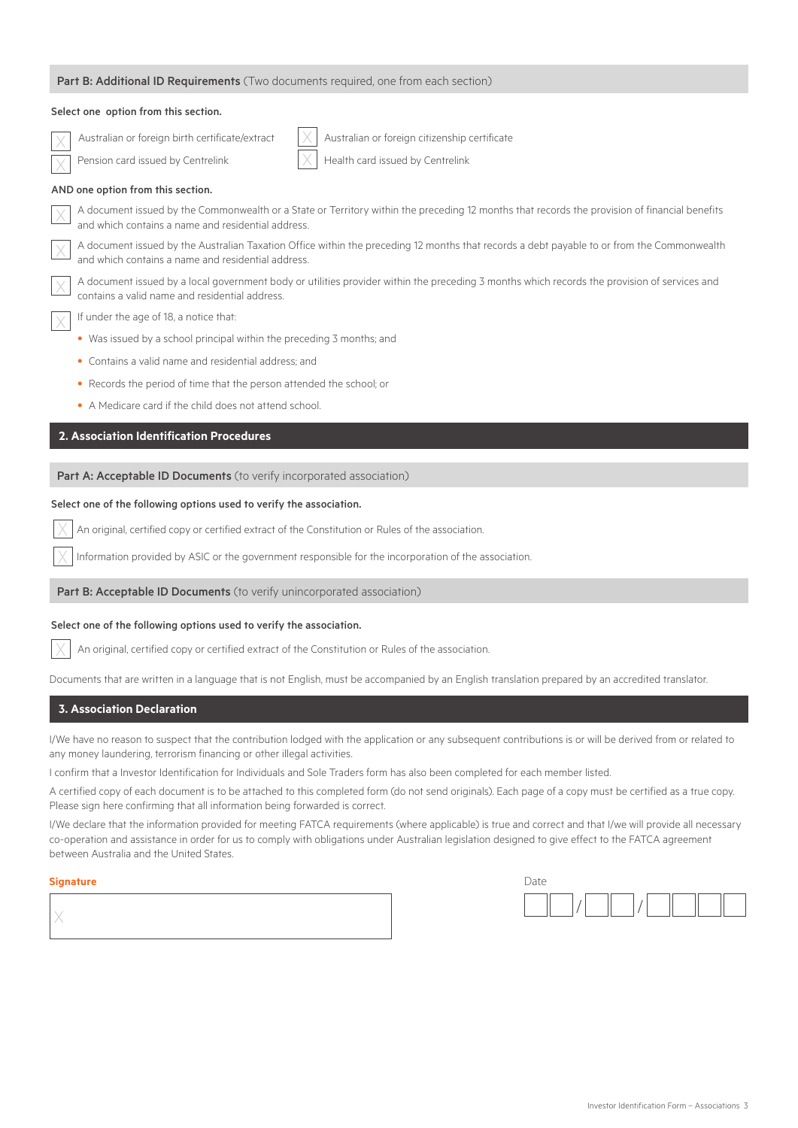| Part B: Additional ID Requirements (Two documents required, one from each section)                                                                                                                  |
|-----------------------------------------------------------------------------------------------------------------------------------------------------------------------------------------------------|
| Select one option from this section.                                                                                                                                                                |
| Australian or foreign birth certificate/extract<br>Australian or foreign citizenship certificate<br>Health card issued by Centrelink<br>Pension card issued by Centrelink                           |
| AND one option from this section.                                                                                                                                                                   |
| A document issued by the Commonwealth or a State or Territory within the preceding 12 months that records the provision of financial benefits<br>and which contains a name and residential address. |
| A document issued by the Australian Taxation Office within the preceding 12 months that records a debt payable to or from the Commonwealth<br>and which contains a name and residential address.    |
| A document issued by a local government body or utilities provider within the preceding 3 months which records the provision of services and<br>contains a valid name and residential address.      |
| If under the age of 18, a notice that:                                                                                                                                                              |
| • Was issued by a school principal within the preceding 3 months; and                                                                                                                               |
| • Contains a valid name and residential address; and                                                                                                                                                |
| • Records the period of time that the person attended the school; or                                                                                                                                |
| • A Medicare card if the child does not attend school.                                                                                                                                              |
| 2. Association Identification Procedures                                                                                                                                                            |
| Part A: Acceptable ID Documents (to verify incorporated association)                                                                                                                                |
| Select one of the following options used to verify the association.                                                                                                                                 |
| An original, certified copy or certified extract of the Constitution or Rules of the association.                                                                                                   |
| Information provided by ASIC or the government responsible for the incorporation of the association.                                                                                                |
| Part B: Acceptable ID Documents (to verify unincorporated association)                                                                                                                              |
| Select one of the following options used to verify the association.                                                                                                                                 |
| An original, certified copy or certified extract of the Constitution or Rules of the association.                                                                                                   |
| Documents that are written in a language that is not English, must be accompanied by an English translation prepared by an accredited translator.                                                   |

## **3. Association Declaration**

I/We have no reason to suspect that the contribution lodged with the application or any subsequent contributions is or will be derived from or related to any money laundering, terrorism financing or other illegal activities.

I confirm that a Investor Identification for Individuals and Sole Traders form has also been completed for each member listed.

A certified copy of each document is to be attached to this completed form (do not send originals). Each page of a copy must be certified as a true copy. Please sign here confirming that all information being forwarded is correct.

I/We declare that the information provided for meeting FATCA requirements (where applicable) is true and correct and that I/we will provide all necessary co-operation and assistance in order for us to comply with obligations under Australian legislation designed to give effect to the FATCA agreement between Australia and the United States.

#### **Signature** Date

| 'Jate |  |  |  |
|-------|--|--|--|
|       |  |  |  |